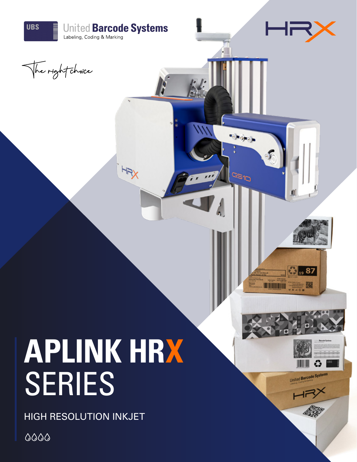

United Barcode Systems

# **APLINK HRX** SERIES

HIGH RESOLUTION INKJET

 $0000$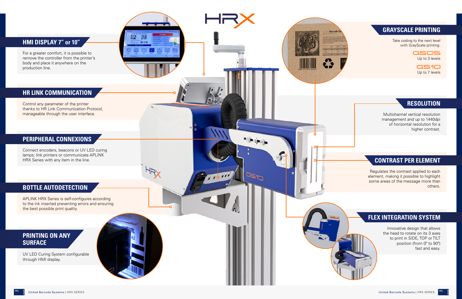Multichannel vertical resolution management and up to 1440dpi of horizontal resolution for a higher contrast.

Regulates the contrast applied to each element, making it possible to highlight some areas of the message more than others.

> Innovative design that allows the head to rotate on its 3 axes to print in SIDE, TOP or TILT position (from 0º to 90º) fast and easy.



58333

 $20011$ 

Control any parameter of the printer thanks to HR Link Communication Protocol, manageable through the user interface.

GSOS Up to 3 levels

Connect encoders, beacons or UV LED curing lamps; link printers or communicate APLINK HRX Series with any item in the line.

**GS10** Up to 7 levels

#### **HMI DISPLAY 7" or 10"** Take coding to the next level

For a greater comfort, it is possible to remove the controller from the printer's body and place it anywhere on the production line.

APLINK HRX Series is self-configures according to the ink inserted preventing errors and ensuring the best possible print quality.

ЪŅ

UV LED Curing System configurable through HMI display.

with GrayScale printing.

#### **GRAYSCALE PRINTING**

#### **CONTRAST PER ELEMENT**

#### **RESOLUTION**

### **FLEX INTEGRATION SYSTEM**

#### **PRINTING ON ANY SURFACE**

#### **PERIPHERAL CONNEXIONS**

#### **HR LINK COMMUNICATION**

#### **BOTTLE AUTODETECTION**